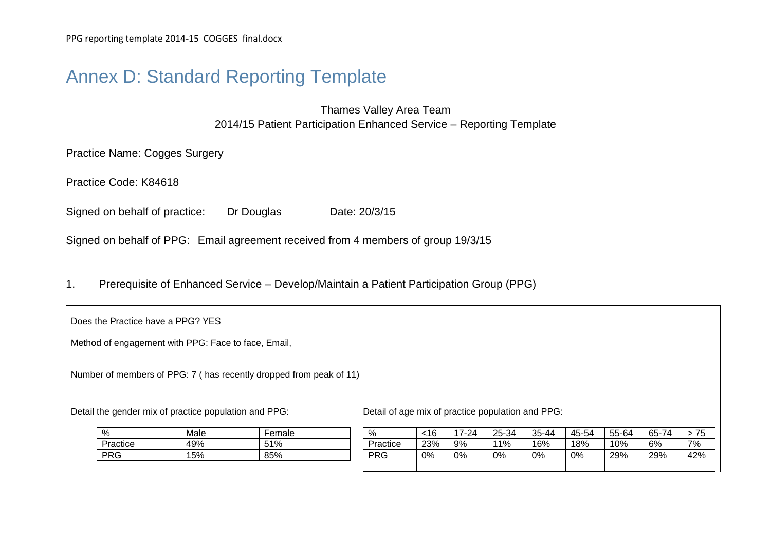# Annex D: Standard Reporting Template

Thames Valley Area Team 2014/15 Patient Participation Enhanced Service – Reporting Template

Practice Name: Cogges Surgery

Practice Code: K84618

Signed on behalf of practice: Dr Douglas Date: 20/3/15

Signed on behalf of PPG: Email agreement received from 4 members of group 19/3/15

1. Prerequisite of Enhanced Service – Develop/Maintain a Patient Participation Group (PPG)

|                                                       | Does the Practice have a PPG? YES                                  |                                                     |        |  |                                                   |     |       |       |       |       |       |       |       |
|-------------------------------------------------------|--------------------------------------------------------------------|-----------------------------------------------------|--------|--|---------------------------------------------------|-----|-------|-------|-------|-------|-------|-------|-------|
|                                                       |                                                                    | Method of engagement with PPG: Face to face, Email, |        |  |                                                   |     |       |       |       |       |       |       |       |
|                                                       | Number of members of PPG: 7 (has recently dropped from peak of 11) |                                                     |        |  |                                                   |     |       |       |       |       |       |       |       |
| Detail the gender mix of practice population and PPG: |                                                                    |                                                     |        |  | Detail of age mix of practice population and PPG: |     |       |       |       |       |       |       |       |
|                                                       | %                                                                  | Male                                                | Female |  | %                                                 | ~16 | 17-24 | 25-34 | 35-44 | 45-54 | 55-64 | 65-74 | $>75$ |
|                                                       | Practice                                                           | 49%                                                 | 51%    |  | Practice                                          | 23% | 9%    | 11%   | 16%   | 18%   | 10%   | 6%    | 7%    |
|                                                       | <b>PRG</b>                                                         | 15%                                                 | 85%    |  | <b>PRG</b>                                        | 0%  | 0%    | 0%    | 0%    | 0%    | 29%   | 29%   | 42%   |
|                                                       |                                                                    |                                                     |        |  |                                                   |     |       |       |       |       |       |       |       |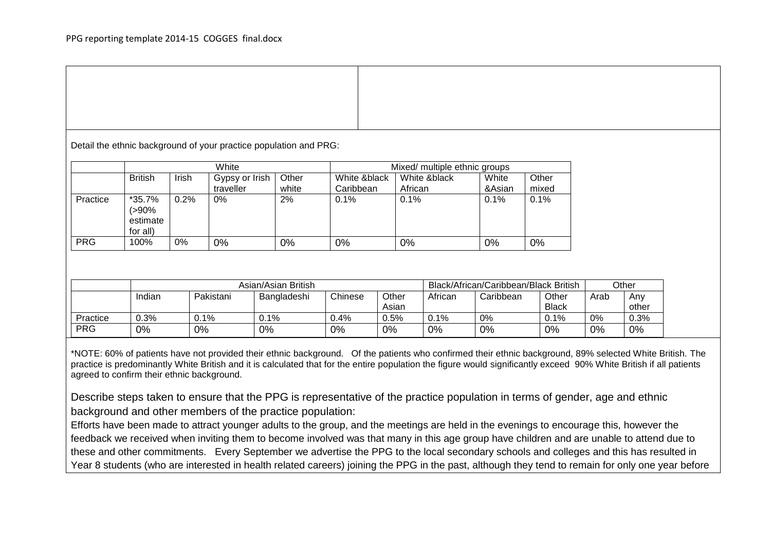Detail the ethnic background of your practice population and PRG:

|            | White                                  |       |                             |                | Mixed/ multiple ethnic groups |                         |                 |                |  |  |
|------------|----------------------------------------|-------|-----------------------------|----------------|-------------------------------|-------------------------|-----------------|----------------|--|--|
|            | <b>British</b>                         | Irish | Gypsy or Irish<br>traveller | Other<br>white | White &black<br>Caribbean     | White &black<br>African | White<br>&Asian | Other<br>mixed |  |  |
|            |                                        |       |                             |                |                               |                         |                 |                |  |  |
| Practice   | *35.7%<br>>90%<br>estimate<br>for all) | 0.2%  | 0%                          | 2%             | $0.1\%$                       | 0.1%                    | 0.1%            | 0.1%           |  |  |
| <b>PRG</b> | 100%                                   | $0\%$ | 0%                          | 0%             | 0%                            | 0%                      | $0\%$           | $0\%$          |  |  |

|            | Asian/Asian British |               |             |         |       |         | Black/African/Caribbean/Black British |              |      |       |
|------------|---------------------|---------------|-------------|---------|-------|---------|---------------------------------------|--------------|------|-------|
|            | Indian              | Pakistani     | Bangladeshi | Chinese | Other | African | Caribbean                             | Other        | Arab | Anv   |
|            |                     |               |             |         | Asian |         |                                       | <b>Black</b> |      | other |
| Practice   | $0.3\%$             | <u> 0.1% </u> | $0.1\%$     | 4%.ر    | 0.5%  | J.1%    | 0%                                    | 0.1%         | 0%   | 0.3%  |
| <b>PRG</b> | 0%                  | $0\%$         | 0%          | 0%      | 0%    | 0%      | 0%                                    | 0%           | 0%   | $0\%$ |

\*NOTE: 60% of patients have not provided their ethnic background. Of the patients who confirmed their ethnic background, 89% selected White British. The practice is predominantly White British and it is calculated that for the entire population the figure would significantly exceed 90% White British if all patients agreed to confirm their ethnic background.

Describe steps taken to ensure that the PPG is representative of the practice population in terms of gender, age and ethnic background and other members of the practice population:

Efforts have been made to attract younger adults to the group, and the meetings are held in the evenings to encourage this, however the feedback we received when inviting them to become involved was that many in this age group have children and are unable to attend due to these and other commitments. Every September we advertise the PPG to the local secondary schools and colleges and this has resulted in Year 8 students (who are interested in health related careers) joining the PPG in the past, although they tend to remain for only one year before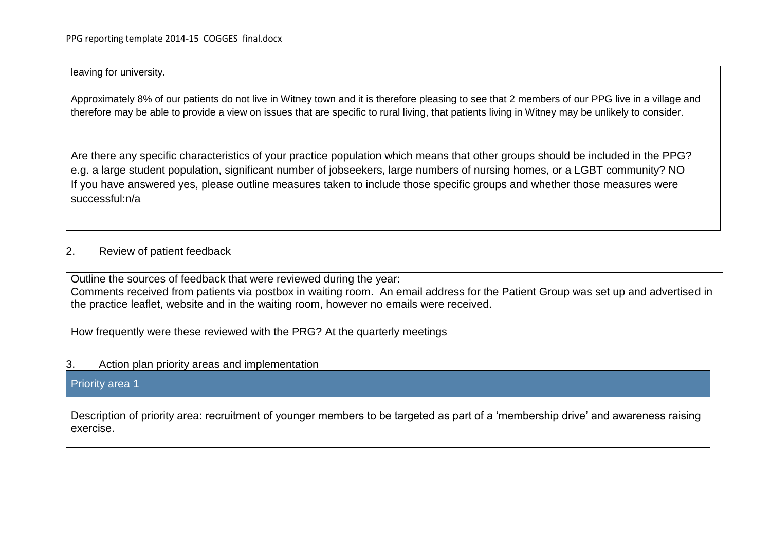#### leaving for university.

Approximately 8% of our patients do not live in Witney town and it is therefore pleasing to see that 2 members of our PPG live in a village and therefore may be able to provide a view on issues that are specific to rural living, that patients living in Witney may be unlikely to consider.

Are there any specific characteristics of your practice population which means that other groups should be included in the PPG? e.g. a large student population, significant number of jobseekers, large numbers of nursing homes, or a LGBT community? NO If you have answered yes, please outline measures taken to include those specific groups and whether those measures were successful:n/a

### 2. Review of patient feedback

Outline the sources of feedback that were reviewed during the year: Comments received from patients via postbox in waiting room. An email address for the Patient Group was set up and advertised in the practice leaflet, website and in the waiting room, however no emails were received.

How frequently were these reviewed with the PRG? At the quarterly meetings

#### 3. Action plan priority areas and implementation

#### Priority area 1

Description of priority area: recruitment of younger members to be targeted as part of a 'membership drive' and awareness raising exercise.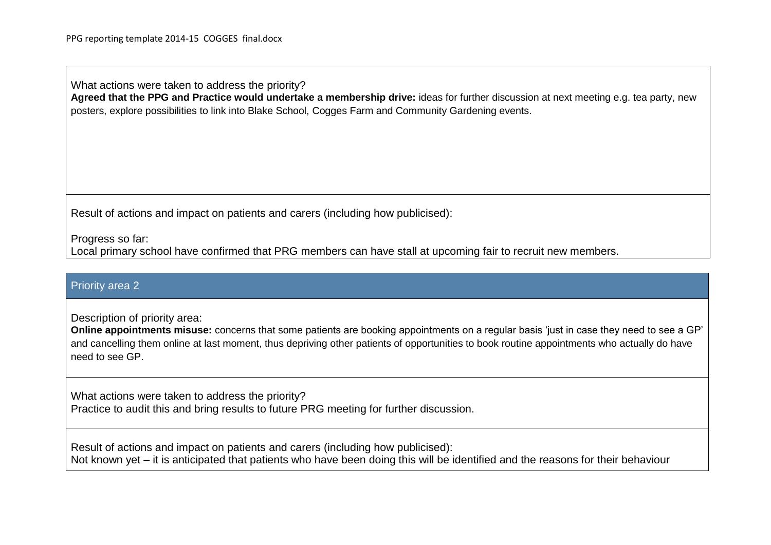What actions were taken to address the priority? **Agreed that the PPG and Practice would undertake a membership drive:** ideas for further discussion at next meeting e.g. tea party, new posters, explore possibilities to link into Blake School, Cogges Farm and Community Gardening events.

Result of actions and impact on patients and carers (including how publicised):

Progress so far:

Local primary school have confirmed that PRG members can have stall at upcoming fair to recruit new members.

#### Priority area 2

Description of priority area:

**Online appointments misuse:** concerns that some patients are booking appointments on a regular basis 'just in case they need to see a GP' and cancelling them online at last moment, thus depriving other patients of opportunities to book routine appointments who actually do have need to see GP.

What actions were taken to address the priority? Practice to audit this and bring results to future PRG meeting for further discussion.

Result of actions and impact on patients and carers (including how publicised): Not known yet – it is anticipated that patients who have been doing this will be identified and the reasons for their behaviour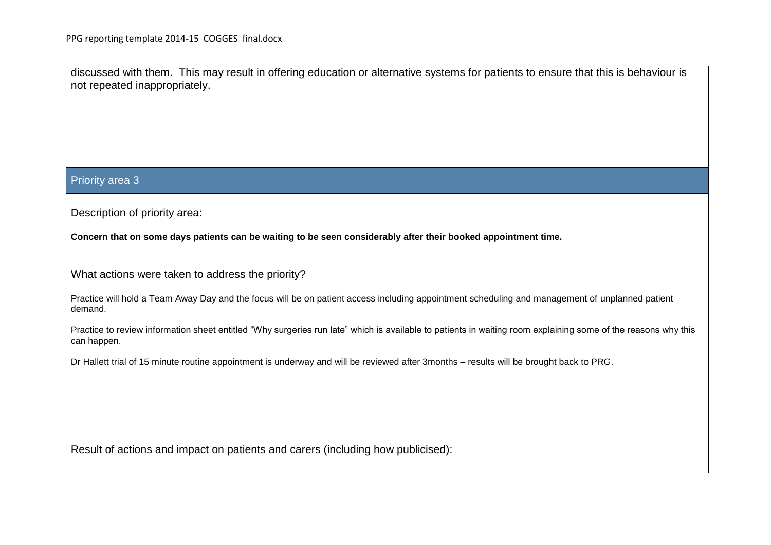discussed with them. This may result in offering education or alternative systems for patients to ensure that this is behaviour is not repeated inappropriately.

#### Priority area 3

Description of priority area:

**Concern that on some days patients can be waiting to be seen considerably after their booked appointment time.** 

What actions were taken to address the priority?

Practice will hold a Team Away Day and the focus will be on patient access including appointment scheduling and management of unplanned patient demand.

Practice to review information sheet entitled "Why surgeries run late" which is available to patients in waiting room explaining some of the reasons why this can happen.

Dr Hallett trial of 15 minute routine appointment is underway and will be reviewed after 3months – results will be brought back to PRG.

Result of actions and impact on patients and carers (including how publicised):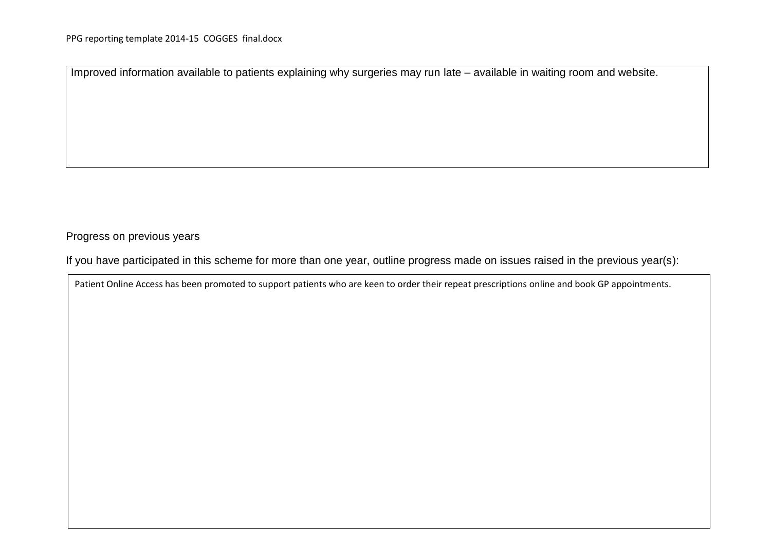Improved information available to patients explaining why surgeries may run late – available in waiting room and website.

#### Progress on previous years

If you have participated in this scheme for more than one year, outline progress made on issues raised in the previous year(s):

Patient Online Access has been promoted to support patients who are keen to order their repeat prescriptions online and book GP appointments.